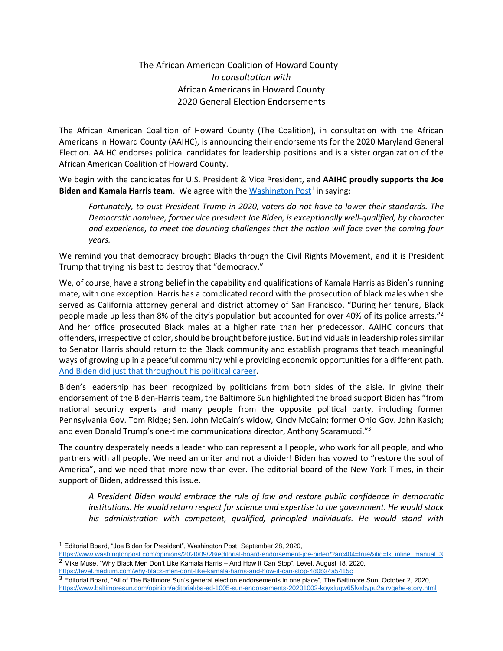### The African American Coalition of Howard County *In consultation with* African Americans in Howard County 2020 General Election Endorsements

The African American Coalition of Howard County (The Coalition), in consultation with the African Americans in Howard County (AAIHC), is announcing their endorsements for the 2020 Maryland General Election. AAIHC endorses political candidates for leadership positions and is a sister organization of the African American Coalition of Howard County.

We begin with the candidates for U.S. President & Vice President, and **AAIHC proudly supports the Joe**  Biden and Kamala Harris team. We agree with the **Washington Post<sup>1</sup> in saying**:

*Fortunately, to oust President Trump in 2020, voters do not have to lower their standards. The Democratic nominee, former vice president Joe Biden, is exceptionally well-qualified, by character and experience, to meet the daunting challenges that the nation will face over the coming four years.*

We remind you that democracy brought Blacks through the Civil Rights Movement, and it is President Trump that trying his best to destroy that "democracy."

We, of course, have a strong belief in the capability and qualifications of Kamala Harris as Biden's running mate, with one exception. Harris has a complicated record with the prosecution of black males when she served as California attorney general and district attorney of San Francisco. "During her tenure, Black people made up less than 8% of the city's population but accounted for over 40% of its police arrests."<sup>2</sup> And her office prosecuted Black males at a higher rate than her predecessor. AAIHC concurs that offenders, irrespective of color, should be brought before justice. But individuals in leadership roles similar to Senator Harris should return to the Black community and establish programs that teach meaningful ways of growing up in a peaceful community while providing economic opportunities for a different path. [And Biden did just that throughout his political career.](https://www.washingtonpost.com/politics/at-a-wilmington-pool-pranks-nicknames-and-the-racial-education-of-joe-biden/2019/07/12/29fcc8fc-a191-11e9-b732-41a79c2551bf_story.html)

Biden's leadership has been recognized by politicians from both sides of the aisle. In giving their endorsement of the Biden-Harris team, the Baltimore Sun highlighted the broad support Biden has "from national security experts and many people from the opposite political party, including former Pennsylvania Gov. Tom Ridge; Sen. John McCain's widow, Cindy McCain; former Ohio Gov. John Kasich; and even Donald Trump's one-time communications director, Anthony Scaramucci."<sup>3</sup>

The country desperately needs a leader who can represent all people, who work for all people, and who partners with all people. We need an uniter and not a divider! Biden has vowed to "restore the soul of America", and we need that more now than ever. The editorial board of the New York Times, in their support of Biden, addressed this issue.

*A President Biden would embrace the rule of law and restore public confidence in democratic institutions. He would return respect for science and expertise to the government. He would stock his administration with competent, qualified, principled individuals. He would stand with* 

<sup>&</sup>lt;sup>1</sup> Editorial Board, "Joe Biden for President", Washington Post, September 28, 2020,

[https://www.washingtonpost.com/opinions/2020/09/28/editorial-board-endorsement-joe-biden/?arc404=true&itid=lk\\_inline\\_manual\\_3](https://www.washingtonpost.com/opinions/2020/09/28/editorial-board-endorsement-joe-biden/?arc404=true&itid=lk_inline_manual_3) <sup>2</sup> Mike Muse, "Why Black Men Don't Like Kamala Harris – And How It Can Stop", Level, August 18, 2020,

<https://level.medium.com/why-black-men-dont-like-kamala-harris-and-how-it-can-stop-4d0b34a5415c>

<sup>3</sup> Editorial Board, "All of The Baltimore Sun's general election endorsements in one place", The Baltimore Sun, October 2, 2020, <https://www.baltimoresun.com/opinion/editorial/bs-ed-1005-sun-endorsements-20201002-koyxlugw65fvxbypu2alrvqehe-story.html>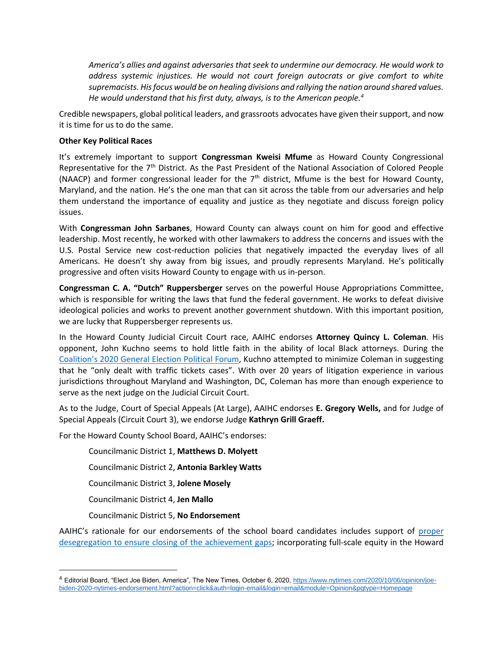*America's allies and against adversaries that seek to undermine our democracy. He would work to address systemic injustices. He would not court foreign autocrats or give comfort to white supremacists. His focus would be on healing divisions and rallying the nation around shared values. He would understand that his first duty, always, is to the American people.<sup>4</sup>*

Credible newspapers, global political leaders, and grassroots advocates have given their support, and now it is time for us to do the same.

#### **Other Key Political Races**

It's extremely important to support **Congressman Kweisi Mfume** as Howard County Congressional Representative for the 7<sup>th</sup> District. As the Past President of the National Association of Colored People (NAACP) and former congressional leader for the  $7<sup>th</sup>$  district, Mfume is the best for Howard County, Maryland, and the nation. He's the one man that can sit across the table from our adversaries and help them understand the importance of equality and justice as they negotiate and discuss foreign policy issues.

With **Congressman John Sarbanes**, Howard County can always count on him for good and effective leadership. Most recently, he worked with other lawmakers to address the concerns and issues with the U.S. Postal Service new cost-reduction policies that negatively impacted the everyday lives of all Americans. He doesn't shy away from big issues, and proudly represents Maryland. He's politically progressive and often visits Howard County to engage with us in-person.

**Congressman C. A. "Dutch" Ruppersberger** serves on the powerful House Appropriations Committee, which is responsible for writing the laws that fund the federal government. He works to defeat divisive ideological policies and works to prevent another government shutdown. With this important position, we are lucky that Ruppersberger represents us.

In the Howard County Judicial Circuit Court race, AAIHC endorses **Attorney Quincy L. Coleman***.* His opponent, John Kuchno seems to hold little faith in the ability of local Black attorneys. During the Coalition's [2020 General Election Political Forum,](https://www.facebook.com/AfAmCoalition/videos/2837344979700937/) Kuchno attempted to minimize Coleman in suggesting that he "only dealt with traffic tickets cases". With over 20 years of litigation experience in various jurisdictions throughout Maryland and Washington, DC, Coleman has more than enough experience to serve as the next judge on the Judicial Circuit Court.

As to the Judge, Court of Special Appeals (At Large), AAIHC endorses **E. Gregory Wells,** and for Judge of Special Appeals (Circuit Court 3), we endorse Judge **Kathryn Grill Graeff.**

For the Howard County School Board, AAIHC's endorses:

Councilmanic District 1, **Matthews D. Molyett**

Councilmanic District 2, **Antonia Barkley Watts**

Councilmanic District 3, **Jolene Mosely**

Councilmanic District 4, **Jen Mallo**

Councilmanic District 5, **No Endorsement**

AAIHC's rationale for our endorsements of the school board candidates includes support of [proper](https://news.yahoo.com/parent-resistance-thwarts-local-school-173518596.html)  desegregation [to ensure closing of the achievement gaps;](https://news.yahoo.com/parent-resistance-thwarts-local-school-173518596.html) incorporating full-scale equity in the Howard

<sup>4</sup> Editorial Board, "Elect Joe Biden, America", The New Times, October 6, 2020[, https://www.nytimes.com/2020/10/06/opinion/joe](https://www.nytimes.com/2020/10/06/opinion/joe-biden-2020-nytimes-endorsement.html?action=click&auth=login-email&login=email&module=Opinion&pgtype=Homepage)[biden-2020-nytimes-endorsement.html?action=click&auth=login-email&login=email&module=Opinion&pgtype=Homepage](https://www.nytimes.com/2020/10/06/opinion/joe-biden-2020-nytimes-endorsement.html?action=click&auth=login-email&login=email&module=Opinion&pgtype=Homepage)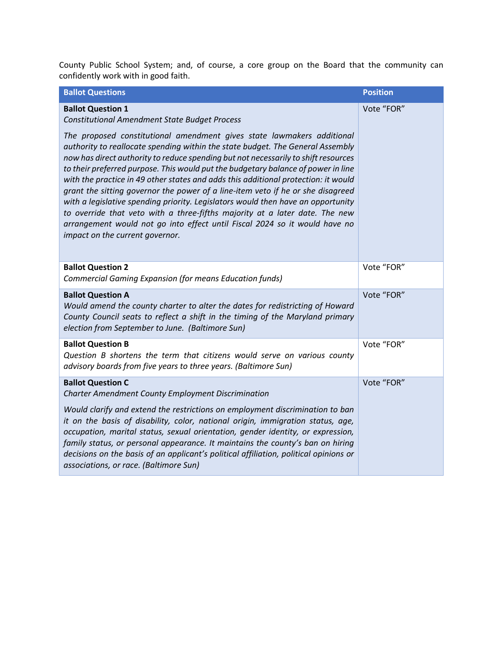County Public School System; and, of course, a core group on the Board that the community can confidently work with in good faith.

| <b>Ballot Questions</b>                                                                                                                                                                                                                                                                                                                                                                                                                                                                                                                                                                                                                                                                                                                                                                                                                                                              | <b>Position</b> |
|--------------------------------------------------------------------------------------------------------------------------------------------------------------------------------------------------------------------------------------------------------------------------------------------------------------------------------------------------------------------------------------------------------------------------------------------------------------------------------------------------------------------------------------------------------------------------------------------------------------------------------------------------------------------------------------------------------------------------------------------------------------------------------------------------------------------------------------------------------------------------------------|-----------------|
| <b>Ballot Question 1</b><br><b>Constitutional Amendment State Budget Process</b><br>The proposed constitutional amendment gives state lawmakers additional<br>authority to reallocate spending within the state budget. The General Assembly<br>now has direct authority to reduce spending but not necessarily to shift resources<br>to their preferred purpose. This would put the budgetary balance of power in line<br>with the practice in 49 other states and adds this additional protection: it would<br>grant the sitting governor the power of a line-item veto if he or she disagreed<br>with a legislative spending priority. Legislators would then have an opportunity<br>to override that veto with a three-fifths majority at a later date. The new<br>arrangement would not go into effect until Fiscal 2024 so it would have no<br>impact on the current governor. | Vote "FOR"      |
|                                                                                                                                                                                                                                                                                                                                                                                                                                                                                                                                                                                                                                                                                                                                                                                                                                                                                      |                 |
| <b>Ballot Question 2</b><br>Commercial Gaming Expansion (for means Education funds)                                                                                                                                                                                                                                                                                                                                                                                                                                                                                                                                                                                                                                                                                                                                                                                                  | Vote "FOR"      |
| <b>Ballot Question A</b><br>Would amend the county charter to alter the dates for redistricting of Howard<br>County Council seats to reflect a shift in the timing of the Maryland primary<br>election from September to June. (Baltimore Sun)                                                                                                                                                                                                                                                                                                                                                                                                                                                                                                                                                                                                                                       | Vote "FOR"      |
| <b>Ballot Question B</b><br>Question B shortens the term that citizens would serve on various county<br>advisory boards from five years to three years. (Baltimore Sun)                                                                                                                                                                                                                                                                                                                                                                                                                                                                                                                                                                                                                                                                                                              | Vote "FOR"      |
| <b>Ballot Question C</b><br><b>Charter Amendment County Employment Discrimination</b>                                                                                                                                                                                                                                                                                                                                                                                                                                                                                                                                                                                                                                                                                                                                                                                                | Vote "FOR"      |
| Would clarify and extend the restrictions on employment discrimination to ban<br>it on the basis of disability, color, national origin, immigration status, age,<br>occupation, marital status, sexual orientation, gender identity, or expression,<br>family status, or personal appearance. It maintains the county's ban on hiring<br>decisions on the basis of an applicant's political affiliation, political opinions or<br>associations, or race. (Baltimore Sun)                                                                                                                                                                                                                                                                                                                                                                                                             |                 |